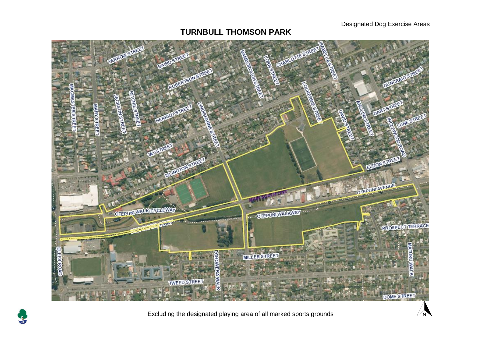#### Designated Dog Exercise Areas

 $\widehat{N}$ 

# **TURNBULL THOMSON PARK**





Excluding the designated playing area of all marked sports grounds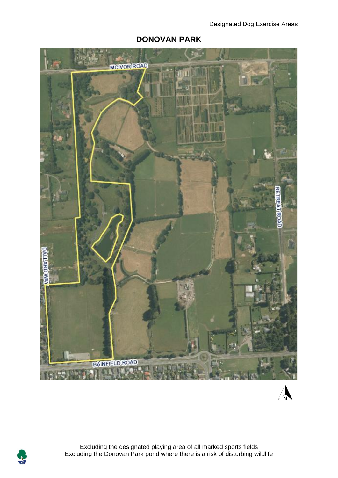

## **DONOVAN PARK**

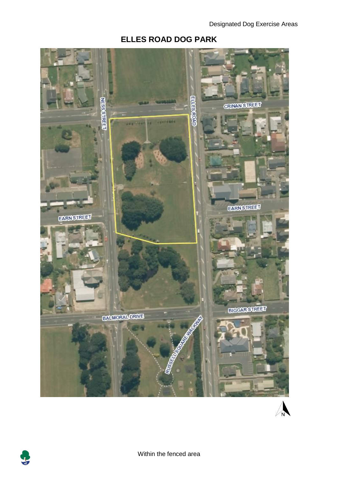### **ELLES ROAD DOG PARK**



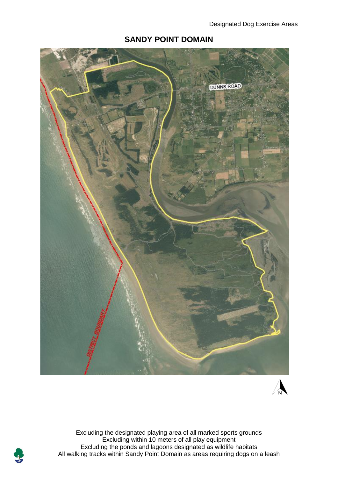

#### **SANDY POINT DOMAIN**



Excluding the designated playing area of all marked sports grounds Excluding within 10 meters of all play equipment Excluding the ponds and lagoons designated as wildlife habitats All walking tracks within Sandy Point Domain as areas requiring dogs on a leash

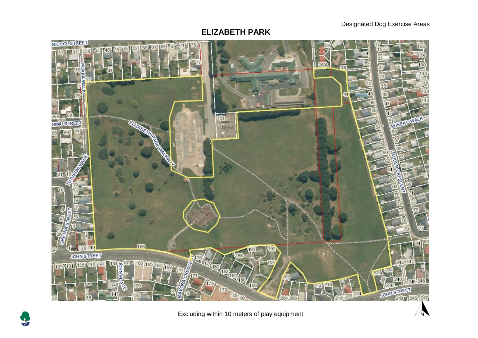Designated Dog Exercise Areas

 $\sqrt{N}$ 

#### **ELIZABETH PARK**